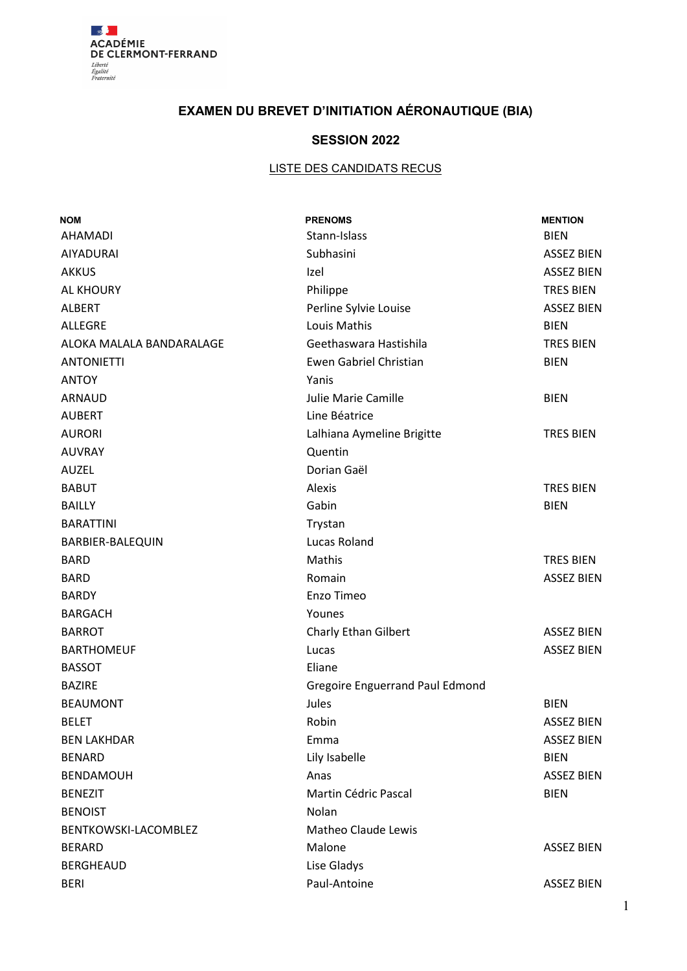

# **EXAMEN DU BREVET D'INITIATION AÉRONAUTIQUE (BIA)**

## **SESSION 2022**

## **LISTE DES CANDIDATS RECUS**

| <b>NOM</b>               | <b>PRENOMS</b>                         | <b>MENTION</b>    |
|--------------------------|----------------------------------------|-------------------|
| <b>AHAMADI</b>           | Stann-Islass                           | <b>BIEN</b>       |
| AIYADURAI                | Subhasini                              | <b>ASSEZ BIEN</b> |
| <b>AKKUS</b>             | Izel                                   | <b>ASSEZ BIEN</b> |
| AL KHOURY                | Philippe                               | <b>TRES BIEN</b>  |
| <b>ALBERT</b>            | Perline Sylvie Louise                  | <b>ASSEZ BIEN</b> |
| <b>ALLEGRE</b>           | Louis Mathis                           | <b>BIEN</b>       |
| ALOKA MALALA BANDARALAGE | Geethaswara Hastishila                 | <b>TRES BIEN</b>  |
| <b>ANTONIETTI</b>        | Ewen Gabriel Christian                 | <b>BIEN</b>       |
| <b>ANTOY</b>             | Yanis                                  |                   |
| ARNAUD                   | Julie Marie Camille                    | <b>BIEN</b>       |
| <b>AUBERT</b>            | Line Béatrice                          |                   |
| <b>AURORI</b>            | Lalhiana Aymeline Brigitte             | <b>TRES BIEN</b>  |
| <b>AUVRAY</b>            | Quentin                                |                   |
| <b>AUZEL</b>             | Dorian Gaël                            |                   |
| <b>BABUT</b>             | Alexis                                 | <b>TRES BIEN</b>  |
| <b>BAILLY</b>            | Gabin                                  | <b>BIEN</b>       |
| <b>BARATTINI</b>         | Trystan                                |                   |
| BARBIER-BALEQUIN         | Lucas Roland                           |                   |
| <b>BARD</b>              | Mathis                                 | <b>TRES BIEN</b>  |
| <b>BARD</b>              | Romain                                 | <b>ASSEZ BIEN</b> |
| <b>BARDY</b>             | Enzo Timeo                             |                   |
| <b>BARGACH</b>           | Younes                                 |                   |
| <b>BARROT</b>            | Charly Ethan Gilbert                   | <b>ASSEZ BIEN</b> |
| <b>BARTHOMEUF</b>        | Lucas                                  | <b>ASSEZ BIEN</b> |
| <b>BASSOT</b>            | Eliane                                 |                   |
| <b>BAZIRE</b>            | <b>Gregoire Enguerrand Paul Edmond</b> |                   |
| <b>BEAUMONT</b>          | Jules                                  | <b>BIEN</b>       |
| <b>BELET</b>             | Robin                                  | <b>ASSEZ BIEN</b> |
| <b>BEN LAKHDAR</b>       | Emma                                   | <b>ASSEZ BIEN</b> |
| <b>BENARD</b>            | Lily Isabelle                          | <b>BIEN</b>       |
| <b>BENDAMOUH</b>         | Anas                                   | <b>ASSEZ BIEN</b> |
| <b>BENEZIT</b>           | Martin Cédric Pascal                   | <b>BIEN</b>       |
| <b>BENOIST</b>           | Nolan                                  |                   |
| BENTKOWSKI-LACOMBLEZ     | <b>Matheo Claude Lewis</b>             |                   |
| <b>BERARD</b>            | Malone                                 | <b>ASSEZ BIEN</b> |
| <b>BERGHEAUD</b>         | Lise Gladys                            |                   |
| <b>BERI</b>              | Paul-Antoine                           | <b>ASSEZ BIEN</b> |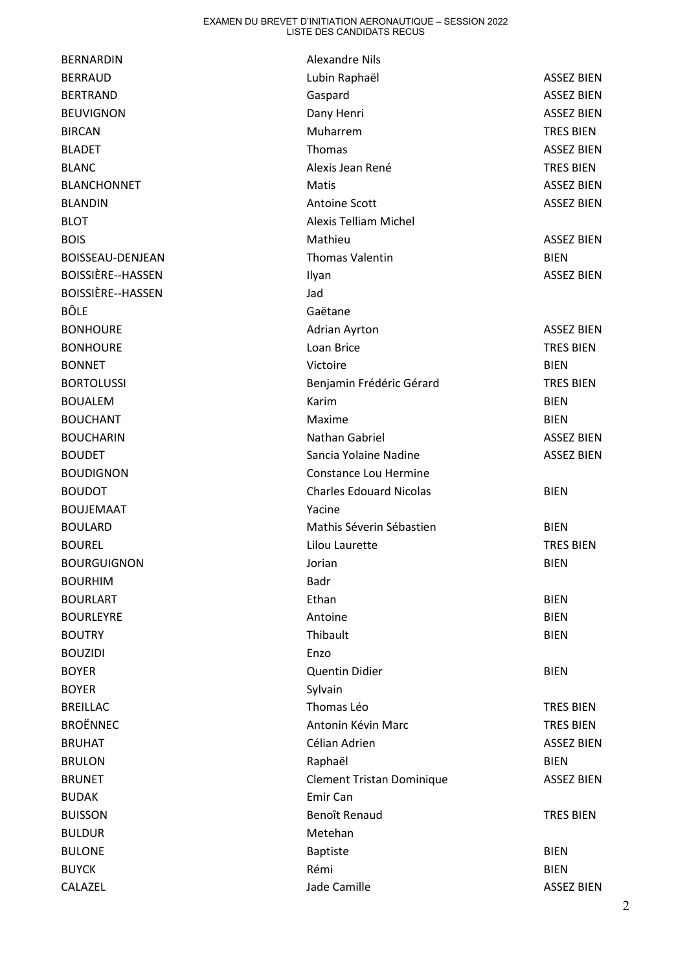| <b>BERNARDIN</b>   | <b>Alexandre Nils</b>            |                   |
|--------------------|----------------------------------|-------------------|
| <b>BERRAUD</b>     | Lubin Raphaël                    | <b>ASSEZ BIEN</b> |
| <b>BERTRAND</b>    | Gaspard                          | <b>ASSEZ BIEN</b> |
| <b>BEUVIGNON</b>   | Dany Henri                       | <b>ASSEZ BIEN</b> |
| <b>BIRCAN</b>      | Muharrem                         | <b>TRES BIEN</b>  |
| <b>BLADET</b>      | Thomas                           | <b>ASSEZ BIEN</b> |
| <b>BLANC</b>       | Alexis Jean René                 | <b>TRES BIEN</b>  |
| <b>BLANCHONNET</b> | Matis                            | <b>ASSEZ BIEN</b> |
| <b>BLANDIN</b>     | <b>Antoine Scott</b>             | <b>ASSEZ BIEN</b> |
| <b>BLOT</b>        | <b>Alexis Telliam Michel</b>     |                   |
| <b>BOIS</b>        | Mathieu                          | <b>ASSEZ BIEN</b> |
| BOISSEAU-DENJEAN   | <b>Thomas Valentin</b>           | <b>BIEN</b>       |
| BOISSIÈRE--HASSEN  | Ilyan                            | <b>ASSEZ BIEN</b> |
| BOISSIÈRE--HASSEN  | Jad                              |                   |
| <b>BÔLE</b>        | Gaëtane                          |                   |
| <b>BONHOURE</b>    | Adrian Ayrton                    | <b>ASSEZ BIEN</b> |
| <b>BONHOURE</b>    | Loan Brice                       | <b>TRES BIEN</b>  |
| <b>BONNET</b>      | Victoire                         | <b>BIEN</b>       |
| <b>BORTOLUSSI</b>  | Benjamin Frédéric Gérard         | <b>TRES BIEN</b>  |
| <b>BOUALEM</b>     | Karim                            | <b>BIEN</b>       |
| <b>BOUCHANT</b>    | Maxime                           | <b>BIEN</b>       |
| <b>BOUCHARIN</b>   | Nathan Gabriel                   | <b>ASSEZ BIEN</b> |
| <b>BOUDET</b>      | Sancia Yolaine Nadine            | <b>ASSEZ BIEN</b> |
| <b>BOUDIGNON</b>   | Constance Lou Hermine            |                   |
| <b>BOUDOT</b>      | <b>Charles Edouard Nicolas</b>   | <b>BIEN</b>       |
| <b>BOUJEMAAT</b>   | Yacine                           |                   |
| <b>BOULARD</b>     | Mathis Séverin Sébastien         | <b>BIEN</b>       |
| <b>BOUREL</b>      | Lilou Laurette                   | <b>TRES BIEN</b>  |
| <b>BOURGUIGNON</b> | Jorian                           | <b>BIEN</b>       |
| <b>BOURHIM</b>     | <b>Badr</b>                      |                   |
| <b>BOURLART</b>    | Ethan                            | <b>BIEN</b>       |
| <b>BOURLEYRE</b>   | Antoine                          | <b>BIEN</b>       |
| <b>BOUTRY</b>      | Thibault                         | <b>BIEN</b>       |
| <b>BOUZIDI</b>     | Enzo                             |                   |
| <b>BOYER</b>       | <b>Quentin Didier</b>            | <b>BIEN</b>       |
| <b>BOYER</b>       | Sylvain                          |                   |
| <b>BREILLAC</b>    | Thomas Léo                       | <b>TRES BIEN</b>  |
| <b>BROËNNEC</b>    | Antonin Kévin Marc               | <b>TRES BIEN</b>  |
| <b>BRUHAT</b>      | Célian Adrien                    | <b>ASSEZ BIEN</b> |
| <b>BRULON</b>      | Raphaël                          | <b>BIEN</b>       |
| <b>BRUNET</b>      | <b>Clement Tristan Dominique</b> | <b>ASSEZ BIEN</b> |
| <b>BUDAK</b>       | Emir Can                         |                   |
| <b>BUISSON</b>     | Benoît Renaud                    | <b>TRES BIEN</b>  |
| <b>BULDUR</b>      | Metehan                          |                   |
| <b>BULONE</b>      | Baptiste                         | <b>BIEN</b>       |
| <b>BUYCK</b>       | Rémi                             | <b>BIEN</b>       |
| CALAZEL            | Jade Camille                     | <b>ASSEZ BIEN</b> |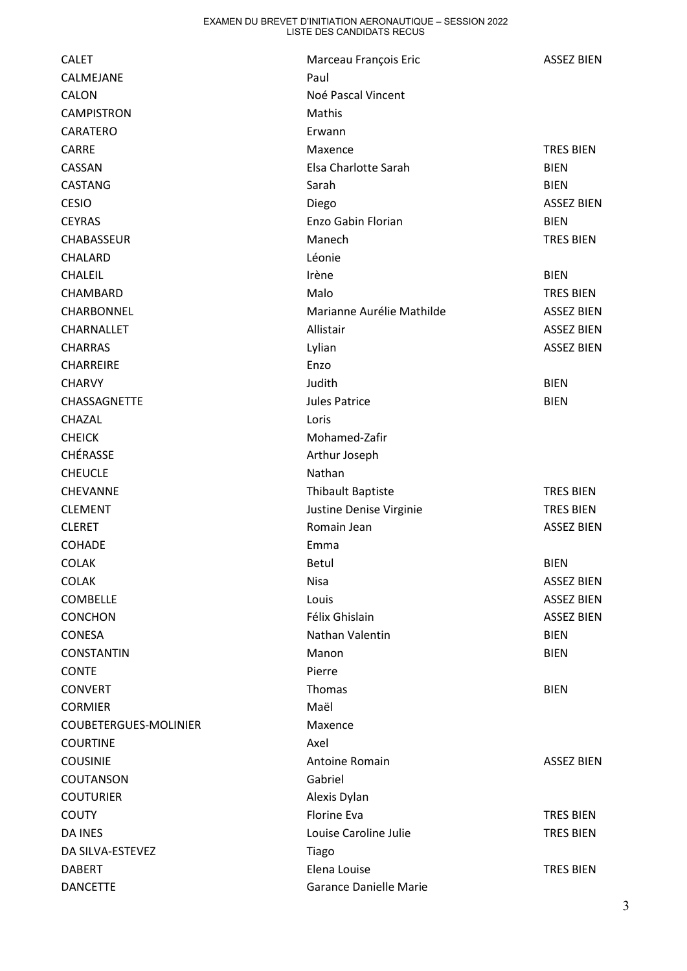| <b>CALET</b>          | Marceau François Eric     | <b>ASSEZ BIEN</b> |
|-----------------------|---------------------------|-------------------|
| CALMEJANE             | Paul                      |                   |
| CALON                 | Noé Pascal Vincent        |                   |
| <b>CAMPISTRON</b>     | Mathis                    |                   |
| CARATERO              | Erwann                    |                   |
| CARRE                 | Maxence                   | <b>TRES BIEN</b>  |
| CASSAN                | Elsa Charlotte Sarah      | <b>BIEN</b>       |
| <b>CASTANG</b>        | Sarah                     | <b>BIEN</b>       |
| <b>CESIO</b>          | Diego                     | <b>ASSEZ BIEN</b> |
| <b>CEYRAS</b>         | Enzo Gabin Florian        | <b>BIEN</b>       |
| CHABASSEUR            | Manech                    | <b>TRES BIEN</b>  |
| CHALARD               | Léonie                    |                   |
| <b>CHALEIL</b>        | Irène                     | <b>BIEN</b>       |
| CHAMBARD              | Malo                      | <b>TRES BIEN</b>  |
| CHARBONNEL            | Marianne Aurélie Mathilde | <b>ASSEZ BIEN</b> |
| CHARNALLET            | Allistair                 | <b>ASSEZ BIEN</b> |
| <b>CHARRAS</b>        | Lylian                    | <b>ASSEZ BIEN</b> |
| <b>CHARREIRE</b>      | Enzo                      |                   |
| <b>CHARVY</b>         | Judith                    | <b>BIEN</b>       |
| CHASSAGNETTE          | <b>Jules Patrice</b>      | <b>BIEN</b>       |
| CHAZAL                | Loris                     |                   |
| <b>CHEICK</b>         | Mohamed-Zafir             |                   |
| CHÉRASSE              | Arthur Joseph             |                   |
| <b>CHEUCLE</b>        | Nathan                    |                   |
| <b>CHEVANNE</b>       | <b>Thibault Baptiste</b>  | <b>TRES BIEN</b>  |
| <b>CLEMENT</b>        | Justine Denise Virginie   | <b>TRES BIEN</b>  |
| <b>CLERET</b>         | Romain Jean               | <b>ASSEZ BIEN</b> |
| <b>COHADE</b>         | Emma                      |                   |
| <b>COLAK</b>          | <b>Betul</b>              | <b>BIEN</b>       |
| <b>COLAK</b>          | <b>Nisa</b>               | <b>ASSEZ BIEN</b> |
| <b>COMBELLE</b>       | Louis                     | <b>ASSEZ BIEN</b> |
| <b>CONCHON</b>        | Félix Ghislain            | <b>ASSEZ BIEN</b> |
| <b>CONESA</b>         | Nathan Valentin           | <b>BIEN</b>       |
| <b>CONSTANTIN</b>     | Manon                     | <b>BIEN</b>       |
| <b>CONTE</b>          | Pierre                    |                   |
| <b>CONVERT</b>        | Thomas                    | <b>BIEN</b>       |
| <b>CORMIER</b>        | Maël                      |                   |
| COUBETERGUES-MOLINIER | Maxence                   |                   |
| <b>COURTINE</b>       | Axel                      |                   |
| <b>COUSINIE</b>       | <b>Antoine Romain</b>     | ASSEZ BIEN        |
| COUTANSON             | Gabriel                   |                   |
| <b>COUTURIER</b>      | Alexis Dylan              |                   |
| <b>COUTY</b>          | Florine Eva               | <b>TRES BIEN</b>  |
| <b>DA INES</b>        | Louise Caroline Julie     | <b>TRES BIEN</b>  |
| DA SILVA-ESTEVEZ      | Tiago                     |                   |
| <b>DABERT</b>         | Elena Louise              | TRES BIEN         |
| <b>DANCETTE</b>       | Garance Danielle Marie    |                   |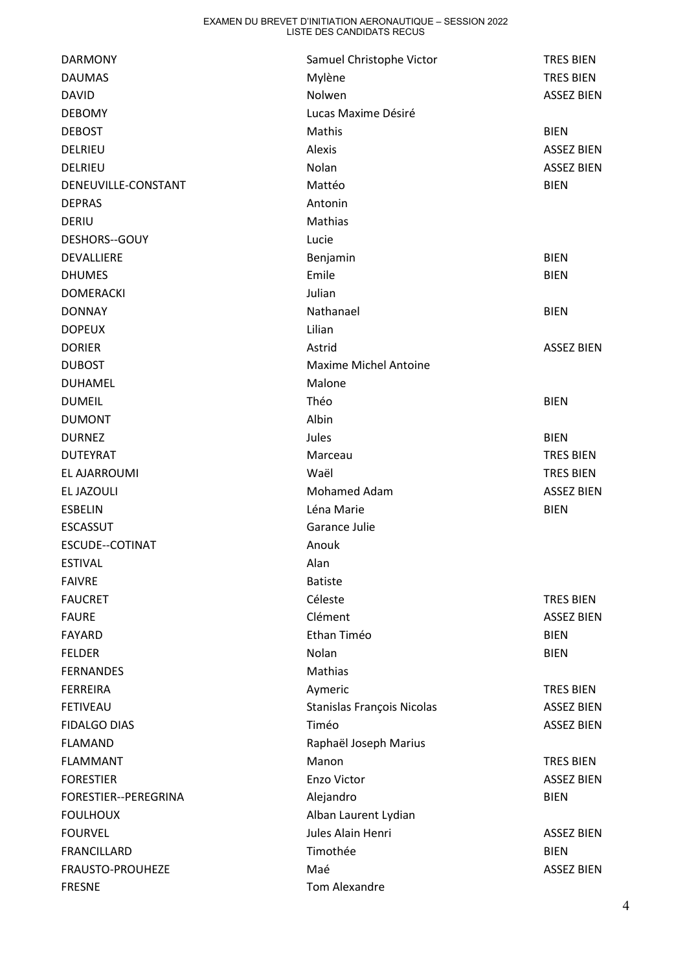| <b>DARMONY</b>         | Samuel Christophe Victor     | <b>TRES BIEN</b>  |
|------------------------|------------------------------|-------------------|
| <b>DAUMAS</b>          | Mylène                       | <b>TRES BIEN</b>  |
| <b>DAVID</b>           | Nolwen                       | <b>ASSEZ BIEN</b> |
| <b>DEBOMY</b>          | Lucas Maxime Désiré          |                   |
| <b>DEBOST</b>          | Mathis                       | <b>BIEN</b>       |
| DELRIEU                | Alexis                       | <b>ASSEZ BIEN</b> |
| DELRIEU                | Nolan                        | <b>ASSEZ BIEN</b> |
| DENEUVILLE-CONSTANT    | Mattéo                       | <b>BIEN</b>       |
| <b>DEPRAS</b>          | Antonin                      |                   |
| DERIU                  | Mathias                      |                   |
| DESHORS--GOUY          | Lucie                        |                   |
| DEVALLIERE             | Benjamin                     | <b>BIEN</b>       |
| <b>DHUMES</b>          | Emile                        | <b>BIEN</b>       |
| <b>DOMERACKI</b>       | Julian                       |                   |
| <b>DONNAY</b>          | Nathanael                    | <b>BIEN</b>       |
| <b>DOPEUX</b>          | Lilian                       |                   |
| <b>DORIER</b>          | Astrid                       | <b>ASSEZ BIEN</b> |
| <b>DUBOST</b>          | <b>Maxime Michel Antoine</b> |                   |
| <b>DUHAMEL</b>         | Malone                       |                   |
| <b>DUMEIL</b>          | Théo                         | <b>BIEN</b>       |
| <b>DUMONT</b>          | Albin                        |                   |
| <b>DURNEZ</b>          | Jules                        | <b>BIEN</b>       |
| <b>DUTEYRAT</b>        | Marceau                      | <b>TRES BIEN</b>  |
| EL AJARROUMI           | Waël                         | <b>TRES BIEN</b>  |
| EL JAZOULI             | <b>Mohamed Adam</b>          | <b>ASSEZ BIEN</b> |
| <b>ESBELIN</b>         | Léna Marie                   | <b>BIEN</b>       |
| <b>ESCASSUT</b>        | Garance Julie                |                   |
| <b>ESCUDE--COTINAT</b> | Anouk                        |                   |
| <b>ESTIVAL</b>         | Alan                         |                   |
| <b>FAIVRE</b>          | <b>Batiste</b>               |                   |
| <b>FAUCRET</b>         | Céleste                      | <b>TRES BIEN</b>  |
| <b>FAURE</b>           | Clément                      | <b>ASSEZ BIEN</b> |
| <b>FAYARD</b>          | Ethan Timéo                  | <b>BIEN</b>       |
| <b>FELDER</b>          | Nolan                        | <b>BIEN</b>       |
| <b>FERNANDES</b>       | Mathias                      |                   |
| <b>FERREIRA</b>        | Aymeric                      | <b>TRES BIEN</b>  |
| <b>FETIVEAU</b>        | Stanislas François Nicolas   | <b>ASSEZ BIEN</b> |
| <b>FIDALGO DIAS</b>    | Timéo                        | <b>ASSEZ BIEN</b> |
| <b>FLAMAND</b>         | Raphaël Joseph Marius        |                   |
| <b>FLAMMANT</b>        | Manon                        | <b>TRES BIEN</b>  |
| <b>FORESTIER</b>       | Enzo Victor                  | <b>ASSEZ BIEN</b> |
| FORESTIER--PEREGRINA   | Alejandro                    | <b>BIEN</b>       |
| <b>FOULHOUX</b>        | Alban Laurent Lydian         |                   |
| <b>FOURVEL</b>         | Jules Alain Henri            | ASSEZ BIEN        |
| <b>FRANCILLARD</b>     | Timothée                     | <b>BIEN</b>       |
| FRAUSTO-PROUHEZE       | Maé                          | <b>ASSEZ BIEN</b> |
| <b>FRESNE</b>          | Tom Alexandre                |                   |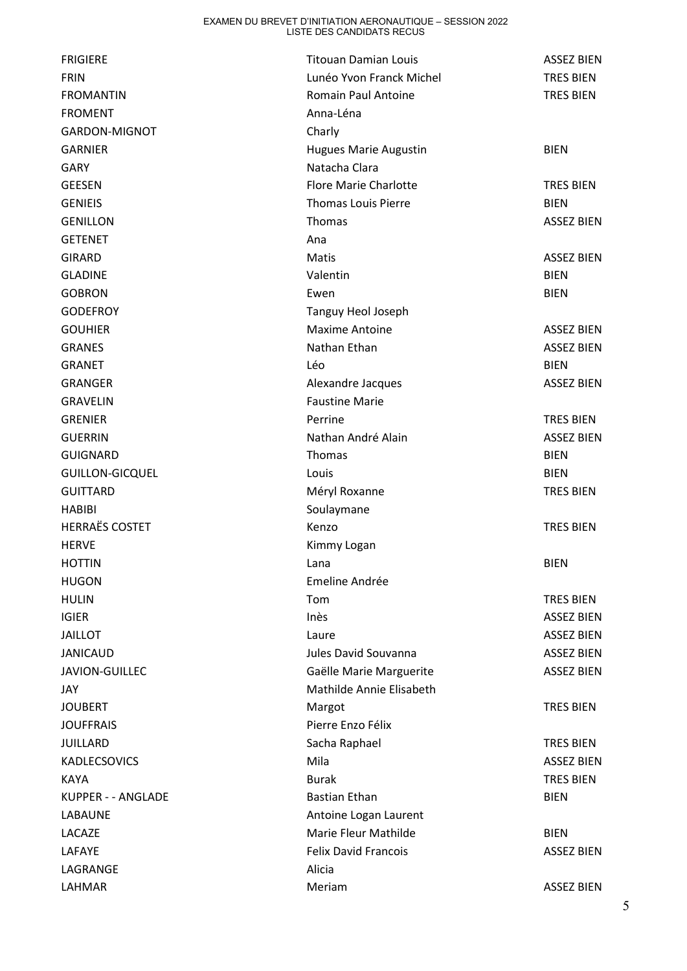| <b>FRIGIERE</b>        | <b>Titouan Damian Louis</b>  | <b>ASSEZ BIEN</b> |
|------------------------|------------------------------|-------------------|
| <b>FRIN</b>            | Lunéo Yvon Franck Michel     | <b>TRES BIEN</b>  |
| <b>FROMANTIN</b>       | Romain Paul Antoine          | <b>TRES BIEN</b>  |
| <b>FROMENT</b>         | Anna-Léna                    |                   |
| <b>GARDON-MIGNOT</b>   | Charly                       |                   |
| <b>GARNIER</b>         | <b>Hugues Marie Augustin</b> | <b>BIEN</b>       |
| <b>GARY</b>            | Natacha Clara                |                   |
| <b>GEESEN</b>          | <b>Flore Marie Charlotte</b> | <b>TRES BIEN</b>  |
| <b>GENIEIS</b>         | <b>Thomas Louis Pierre</b>   | <b>BIEN</b>       |
| <b>GENILLON</b>        | Thomas                       | <b>ASSEZ BIEN</b> |
| <b>GETENET</b>         | Ana                          |                   |
| <b>GIRARD</b>          | Matis                        | <b>ASSEZ BIEN</b> |
| <b>GLADINE</b>         | Valentin                     | <b>BIEN</b>       |
| <b>GOBRON</b>          | Ewen                         | <b>BIEN</b>       |
| <b>GODEFROY</b>        | Tanguy Heol Joseph           |                   |
| <b>GOUHIER</b>         | <b>Maxime Antoine</b>        | <b>ASSEZ BIEN</b> |
| <b>GRANES</b>          | Nathan Ethan                 | <b>ASSEZ BIEN</b> |
| <b>GRANET</b>          | Léo                          | <b>BIEN</b>       |
| <b>GRANGER</b>         | Alexandre Jacques            | <b>ASSEZ BIEN</b> |
| <b>GRAVELIN</b>        | <b>Faustine Marie</b>        |                   |
| <b>GRENIER</b>         | Perrine                      | <b>TRES BIEN</b>  |
| <b>GUERRIN</b>         | Nathan André Alain           | <b>ASSEZ BIEN</b> |
| <b>GUIGNARD</b>        | Thomas                       | <b>BIEN</b>       |
| <b>GUILLON-GICQUEL</b> | Louis                        | <b>BIEN</b>       |
| <b>GUITTARD</b>        | Méryl Roxanne                | TRES BIEN         |
| <b>HABIBI</b>          | Soulaymane                   |                   |
| <b>HERRAËS COSTET</b>  | Kenzo                        | <b>TRES BIEN</b>  |
| <b>HERVE</b>           | Kimmy Logan                  |                   |
| <b>HOTTIN</b>          | Lana                         | <b>BIEN</b>       |
| <b>HUGON</b>           | Emeline Andrée               |                   |
| <b>HULIN</b>           | Tom                          | <b>TRES BIEN</b>  |
| <b>IGIER</b>           | Inès                         | <b>ASSEZ BIEN</b> |
| <b>JAILLOT</b>         | Laure                        | <b>ASSEZ BIEN</b> |
| <b>JANICAUD</b>        | Jules David Souvanna         | <b>ASSEZ BIEN</b> |
| JAVION-GUILLEC         | Gaëlle Marie Marguerite      | <b>ASSEZ BIEN</b> |
| JAY                    | Mathilde Annie Elisabeth     |                   |
| <b>JOUBERT</b>         | Margot                       | <b>TRES BIEN</b>  |
| <b>JOUFFRAIS</b>       | Pierre Enzo Félix            |                   |
| <b>JUILLARD</b>        | Sacha Raphael                | <b>TRES BIEN</b>  |
| <b>KADLECSOVICS</b>    | Mila                         | <b>ASSEZ BIEN</b> |
| <b>KAYA</b>            | <b>Burak</b>                 | <b>TRES BIEN</b>  |
| KUPPER - - ANGLADE     | <b>Bastian Ethan</b>         | <b>BIEN</b>       |
| LABAUNE                | Antoine Logan Laurent        |                   |
| LACAZE                 | Marie Fleur Mathilde         | <b>BIEN</b>       |
| LAFAYE                 | <b>Felix David Francois</b>  | ASSEZ BIEN        |
| LAGRANGE               | Alicia                       |                   |
| LAHMAR                 | Meriam                       | <b>ASSEZ BIEN</b> |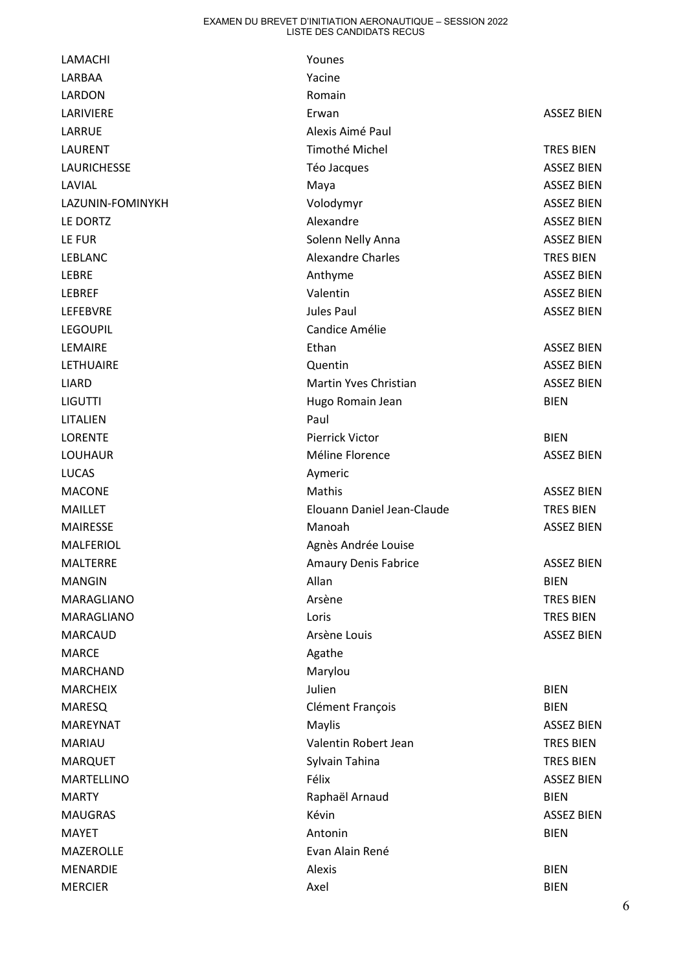| LAMACHI            | Younes                      |                   |
|--------------------|-----------------------------|-------------------|
| LARBAA             | Yacine                      |                   |
| LARDON             | Romain                      |                   |
| LARIVIERE          | Erwan                       | <b>ASSEZ BIEN</b> |
| LARRUE             | Alexis Aimé Paul            |                   |
| <b>LAURENT</b>     | Timothé Michel              | <b>TRES BIEN</b>  |
| <b>LAURICHESSE</b> | Téo Jacques                 | <b>ASSEZ BIEN</b> |
| LAVIAL             | Maya                        | <b>ASSEZ BIEN</b> |
| LAZUNIN-FOMINYKH   | Volodymyr                   | <b>ASSEZ BIEN</b> |
| LE DORTZ           | Alexandre                   | <b>ASSEZ BIEN</b> |
| LE FUR             | Solenn Nelly Anna           | <b>ASSEZ BIEN</b> |
| LEBLANC            | <b>Alexandre Charles</b>    | <b>TRES BIEN</b>  |
| <b>LEBRE</b>       | Anthyme                     | <b>ASSEZ BIEN</b> |
| <b>LEBREF</b>      | Valentin                    | <b>ASSEZ BIEN</b> |
| <b>LEFEBVRE</b>    | Jules Paul                  | <b>ASSEZ BIEN</b> |
| <b>LEGOUPIL</b>    | Candice Amélie              |                   |
| LEMAIRE            | Ethan                       | <b>ASSEZ BIEN</b> |
| <b>LETHUAIRE</b>   | Quentin                     | <b>ASSEZ BIEN</b> |
| <b>LIARD</b>       | Martin Yves Christian       | <b>ASSEZ BIEN</b> |
| <b>LIGUTTI</b>     | Hugo Romain Jean            | <b>BIEN</b>       |
| LITALIEN           | Paul                        |                   |
| <b>LORENTE</b>     | <b>Pierrick Victor</b>      | <b>BIEN</b>       |
| <b>LOUHAUR</b>     | Méline Florence             | <b>ASSEZ BIEN</b> |
| <b>LUCAS</b>       | Aymeric                     |                   |
| <b>MACONE</b>      | Mathis                      | <b>ASSEZ BIEN</b> |
| <b>MAILLET</b>     | Elouann Daniel Jean-Claude  | <b>TRES BIEN</b>  |
| <b>MAIRESSE</b>    | Manoah                      | <b>ASSEZ BIEN</b> |
| <b>MALFERIOL</b>   | Agnès Andrée Louise         |                   |
| <b>MALTERRE</b>    | <b>Amaury Denis Fabrice</b> | <b>ASSEZ BIEN</b> |
| <b>MANGIN</b>      | Allan                       | <b>BIEN</b>       |
| MARAGLIANO         | Arsène                      | <b>TRES BIEN</b>  |
| MARAGLIANO         | Loris                       | <b>TRES BIEN</b>  |
| <b>MARCAUD</b>     | Arsène Louis                | <b>ASSEZ BIEN</b> |
| <b>MARCE</b>       | Agathe                      |                   |
| <b>MARCHAND</b>    | Marylou                     |                   |
| <b>MARCHEIX</b>    | Julien                      | <b>BIEN</b>       |
| <b>MARESQ</b>      | Clément François            | <b>BIEN</b>       |
| MAREYNAT           | Maylis                      | <b>ASSEZ BIEN</b> |
| <b>MARIAU</b>      | Valentin Robert Jean        | <b>TRES BIEN</b>  |
| <b>MARQUET</b>     | Sylvain Tahina              | <b>TRES BIEN</b>  |
| MARTELLINO         | Félix                       | <b>ASSEZ BIEN</b> |
| <b>MARTY</b>       | Raphaël Arnaud              | <b>BIEN</b>       |
| <b>MAUGRAS</b>     | Kévin                       | <b>ASSEZ BIEN</b> |
| <b>MAYET</b>       | Antonin                     | <b>BIEN</b>       |
| MAZEROLLE          | Evan Alain René             |                   |
| <b>MENARDIE</b>    | Alexis                      | <b>BIEN</b>       |
| <b>MERCIER</b>     | Axel                        | <b>BIEN</b>       |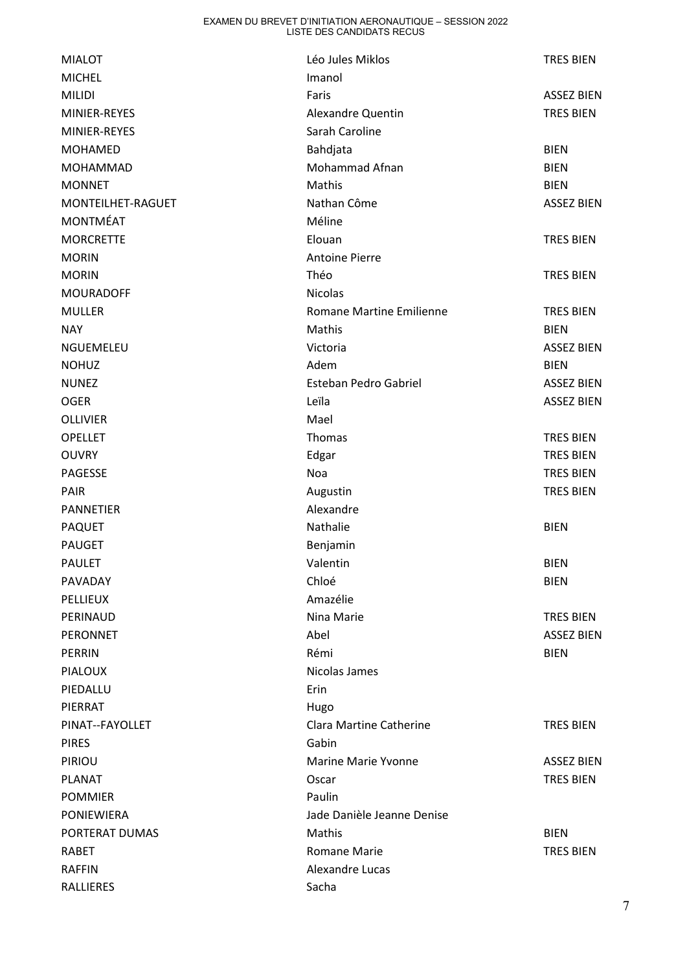| <b>MIALOT</b>     | Léo Jules Miklos           | <b>TRES BIEN</b>  |
|-------------------|----------------------------|-------------------|
| <b>MICHEL</b>     | Imanol                     |                   |
| <b>MILIDI</b>     | Faris                      | <b>ASSEZ BIEN</b> |
| MINIER-REYES      | <b>Alexandre Quentin</b>   | <b>TRES BIEN</b>  |
| MINIER-REYES      | Sarah Caroline             |                   |
| <b>MOHAMED</b>    | Bahdjata                   | <b>BIEN</b>       |
| <b>MOHAMMAD</b>   | Mohammad Afnan             | <b>BIEN</b>       |
| <b>MONNET</b>     | Mathis                     | <b>BIEN</b>       |
| MONTEILHET-RAGUET | Nathan Côme                | <b>ASSEZ BIEN</b> |
| <b>MONTMÉAT</b>   | Méline                     |                   |
| <b>MORCRETTE</b>  | Elouan                     | <b>TRES BIEN</b>  |
| <b>MORIN</b>      | <b>Antoine Pierre</b>      |                   |
| <b>MORIN</b>      | Théo                       | <b>TRES BIEN</b>  |
| <b>MOURADOFF</b>  | <b>Nicolas</b>             |                   |
| <b>MULLER</b>     | Romane Martine Emilienne   | <b>TRES BIEN</b>  |
| <b>NAY</b>        | Mathis                     | <b>BIEN</b>       |
| NGUEMELEU         | Victoria                   | <b>ASSEZ BIEN</b> |
| <b>NOHUZ</b>      | Adem                       | <b>BIEN</b>       |
| <b>NUNEZ</b>      | Esteban Pedro Gabriel      | <b>ASSEZ BIEN</b> |
| <b>OGER</b>       | Leïla                      | <b>ASSEZ BIEN</b> |
| <b>OLLIVIER</b>   | Mael                       |                   |
| <b>OPELLET</b>    | Thomas                     | <b>TRES BIEN</b>  |
| <b>OUVRY</b>      | Edgar                      | <b>TRES BIEN</b>  |
| PAGESSE           | Noa                        | <b>TRES BIEN</b>  |
| <b>PAIR</b>       | Augustin                   | <b>TRES BIEN</b>  |
| <b>PANNETIER</b>  | Alexandre                  |                   |
| <b>PAQUET</b>     | Nathalie                   | <b>BIEN</b>       |
| <b>PAUGET</b>     | Benjamin                   |                   |
| <b>PAULET</b>     | Valentin                   | <b>BIEN</b>       |
| PAVADAY           | Chloé                      | <b>BIEN</b>       |
| <b>PELLIEUX</b>   | Amazélie                   |                   |
| PERINAUD          | Nina Marie                 | <b>TRES BIEN</b>  |
| <b>PERONNET</b>   | Abel                       | <b>ASSEZ BIEN</b> |
| <b>PERRIN</b>     | Rémi                       | <b>BIEN</b>       |
| <b>PIALOUX</b>    | Nicolas James              |                   |
| PIEDALLU          | Erin                       |                   |
| PIERRAT           | Hugo                       |                   |
| PINAT--FAYOLLET   | Clara Martine Catherine    | <b>TRES BIEN</b>  |
| <b>PIRES</b>      | Gabin                      |                   |
| PIRIOU            | <b>Marine Marie Yvonne</b> | <b>ASSEZ BIEN</b> |
| <b>PLANAT</b>     | Oscar                      | <b>TRES BIEN</b>  |
| <b>POMMIER</b>    | Paulin                     |                   |
| PONIEWIERA        | Jade Danièle Jeanne Denise |                   |
| PORTERAT DUMAS    | Mathis                     | <b>BIEN</b>       |
| <b>RABET</b>      | <b>Romane Marie</b>        | <b>TRES BIEN</b>  |
| <b>RAFFIN</b>     | Alexandre Lucas            |                   |
| RALLIERES         | Sacha                      |                   |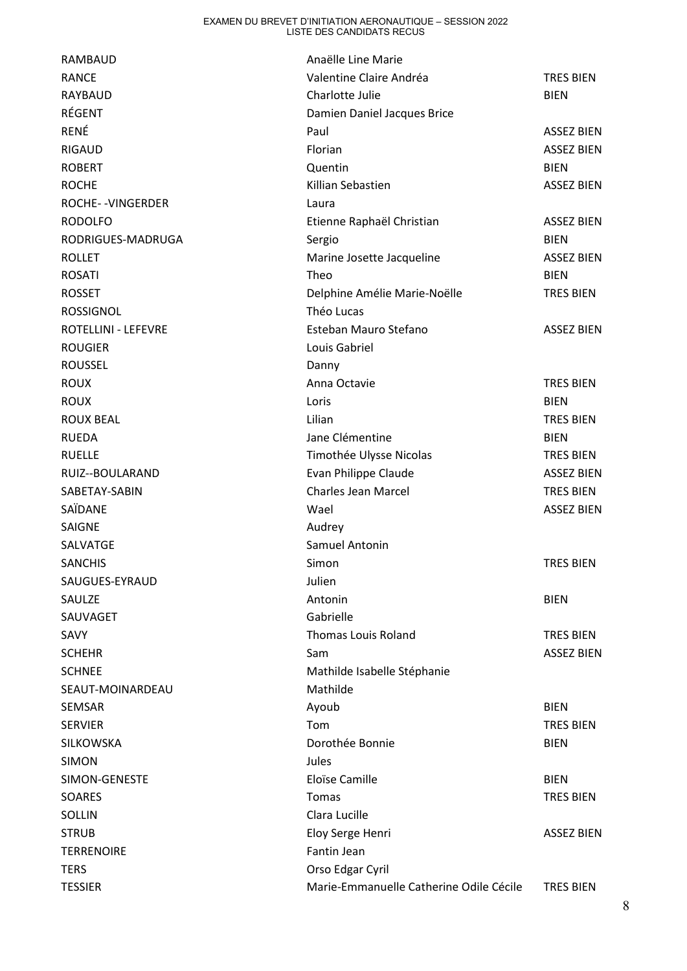| <b>RAMBAUD</b>             | Anaëlle Line Marie                      |                   |
|----------------------------|-----------------------------------------|-------------------|
| <b>RANCE</b>               | Valentine Claire Andréa                 | <b>TRES BIEN</b>  |
| <b>RAYBAUD</b>             | Charlotte Julie                         | <b>BIEN</b>       |
| RÉGENT                     | Damien Daniel Jacques Brice             |                   |
| RENÉ                       | Paul                                    | <b>ASSEZ BIEN</b> |
| <b>RIGAUD</b>              | Florian                                 | <b>ASSEZ BIEN</b> |
| <b>ROBERT</b>              | Quentin                                 | <b>BIEN</b>       |
| <b>ROCHE</b>               | Killian Sebastien                       | <b>ASSEZ BIEN</b> |
| ROCHE--VINGERDER           | Laura                                   |                   |
| <b>RODOLFO</b>             | Etienne Raphaël Christian               | <b>ASSEZ BIEN</b> |
| RODRIGUES-MADRUGA          | Sergio                                  | <b>BIEN</b>       |
| <b>ROLLET</b>              | Marine Josette Jacqueline               | <b>ASSEZ BIEN</b> |
| <b>ROSATI</b>              | Theo                                    | <b>BIEN</b>       |
| <b>ROSSET</b>              | Delphine Amélie Marie-Noëlle            | <b>TRES BIEN</b>  |
| <b>ROSSIGNOL</b>           | Théo Lucas                              |                   |
| <b>ROTELLINI - LEFEVRE</b> | Esteban Mauro Stefano                   | <b>ASSEZ BIEN</b> |
| <b>ROUGIER</b>             | Louis Gabriel                           |                   |
| <b>ROUSSEL</b>             | Danny                                   |                   |
| <b>ROUX</b>                | Anna Octavie                            | <b>TRES BIEN</b>  |
| <b>ROUX</b>                | Loris                                   | <b>BIEN</b>       |
| <b>ROUX BEAL</b>           | Lilian                                  | <b>TRES BIEN</b>  |
| <b>RUEDA</b>               | Jane Clémentine                         | <b>BIEN</b>       |
| <b>RUELLE</b>              | Timothée Ulysse Nicolas                 | <b>TRES BIEN</b>  |
| RUIZ--BOULARAND            | Evan Philippe Claude                    | <b>ASSEZ BIEN</b> |
| SABETAY-SABIN              | <b>Charles Jean Marcel</b>              | <b>TRES BIEN</b>  |
| SAÏDANE                    | Wael                                    | <b>ASSEZ BIEN</b> |
| <b>SAIGNE</b>              | Audrey                                  |                   |
| SALVATGE                   | Samuel Antonin                          |                   |
| <b>SANCHIS</b>             | Simon                                   | <b>TRES BIEN</b>  |
| SAUGUES-EYRAUD             | Julien                                  |                   |
| SAULZE                     | Antonin                                 | <b>BIEN</b>       |
| SAUVAGET                   | Gabrielle                               |                   |
| SAVY                       | <b>Thomas Louis Roland</b>              | TRES BIEN         |
| <b>SCHEHR</b>              | Sam                                     | <b>ASSEZ BIEN</b> |
| <b>SCHNEE</b>              | Mathilde Isabelle Stéphanie             |                   |
| SEAUT-MOINARDEAU           | Mathilde                                |                   |
| SEMSAR                     | Ayoub                                   | <b>BIEN</b>       |
| <b>SERVIER</b>             | Tom                                     | <b>TRES BIEN</b>  |
| <b>SILKOWSKA</b>           | Dorothée Bonnie                         | <b>BIEN</b>       |
| <b>SIMON</b>               | Jules                                   |                   |
| SIMON-GENESTE              | Eloïse Camille                          | <b>BIEN</b>       |
| <b>SOARES</b>              | Tomas                                   | <b>TRES BIEN</b>  |
| SOLLIN                     | Clara Lucille                           |                   |
| <b>STRUB</b>               | Eloy Serge Henri                        | <b>ASSEZ BIEN</b> |
| <b>TERRENOIRE</b>          | Fantin Jean                             |                   |
| <b>TERS</b>                | Orso Edgar Cyril                        |                   |
| <b>TESSIER</b>             | Marie-Emmanuelle Catherine Odile Cécile | <b>TRES BIEN</b>  |